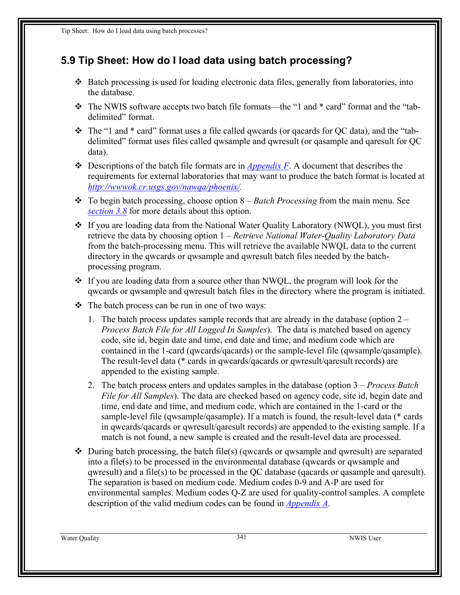## <span id="page-0-0"></span>**5.9 Tip Sheet: How do I load data using batch processing?**

- Batch processing is used for loading electronic data files, generally from laboratories, into the database.
- \* The NWIS software accepts two batch file formats—the "1 and \* card" format and the "tabdelimited" format.
- The "1 and \* card" format uses a file called qwcards (or qacards for QC data), and the "tabdelimited" format uses files called qwsample and qwresult (or qasample and qaresult for QC data).
- Descriptions of the batch file formats are in *Appendix F*. A document that describes the requirements for external laboratories that may want to produce the batch format is located at *[http://wwwok.cr.usgs.gov/nawqa/phoenix/.](http://wwwok.cr.usgs.gov/nawqa/phoenix/)*
- To begin batch processing, choose option 8 *Batch Processing* from the main menu. See *section 3.8* for more details about this option.
- If you are loading data from the National Water Quality Laboratory (NWQL), you must first retrieve the data by choosing option 1 – *Retrieve National Water-Quality Laboratory Data* from the batch-processing menu. This will retrieve the available NWQL data to the current directory in the qwcards or qwsample and qwresult batch files needed by the batchprocessing program.
- $\cdot$  If you are loading data from a source other than NWQL, the program will look for the qwcards or qwsample and qwresult batch files in the directory where the program is initiated.
- $\triangle$  The batch process can be run in one of two ways:
	- 1. The batch process updates sample records that are already in the database (option 2 *Process Batch File for All Logged In Samples*). The data is matched based on agency code, site id, begin date and time, end date and time, and medium code which are contained in the 1-card (qwcards/qacards) or the sample-level file (qwsample/qasample). The result-level data (\* cards in qwcards/qacards or qwresult/qaresult records) are appended to the existing sample.
	- 2. The batch process enters and updates samples in the database (option 3 *Process Batch File for All Samples*). The data are checked based on agency code, site id, begin date and time, end date and time, and medium code, which are contained in the 1-card or the sample-level file (qwsample/qasample). If a match is found, the result-level data (\* cards in qwcards/qacards or qwresult/qaresult records) are appended to the existing sample. If a match is not found, a new sample is created and the result-level data are processed.
- $\triangle$  During batch processing, the batch file(s) (qwcards or qwsample and qwresult) are separated into a file(s) to be processed in the environmental database (qwcards or qwsample and qwresult) and a file(s) to be processed in the QC database (qacards or qasample and qaresult). The separation is based on medium code. Medium codes 0-9 and A-P are used for environmental samples. Medium codes Q-Z are used for quality-control samples. A complete description of the valid medium codes can be found in *Appendix A*.

Water Quality 341 NWIS User